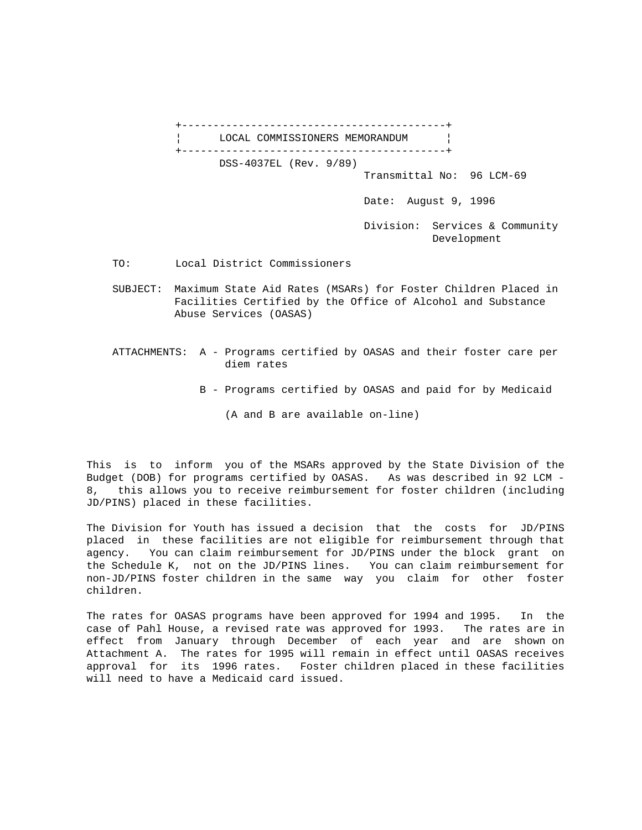

TO: Local District Commissioners

- SUBJECT: Maximum State Aid Rates (MSARs) for Foster Children Placed in Facilities Certified by the Office of Alcohol and Substance Abuse Services (OASAS)
- ATTACHMENTS: A Programs certified by OASAS and their foster care per diem rates
	- B Programs certified by OASAS and paid for by Medicaid
		- (A and B are available on-line)

This is to inform you of the MSARs approved by the State Division of the Budget (DOB) for programs certified by OASAS. As was described in 92 LCM - 8, this allows you to receive reimbursement for foster children (including JD/PINS) placed in these facilities.

The Division for Youth has issued a decision that the costs for JD/PINS placed in these facilities are not eligible for reimbursement through that agency. You can claim reimbursement for JD/PINS under the block grant on the Schedule K, not on the JD/PINS lines. You can claim reimbursement for non-JD/PINS foster children in the same way you claim for other foster children.

The rates for OASAS programs have been approved for 1994 and 1995. In the case of Pahl House, a revised rate was approved for 1993. The rates are in effect from January through December of each year and are shown on Attachment A. The rates for 1995 will remain in effect until OASAS receives approval for its 1996 rates. Foster children placed in these facilities will need to have a Medicaid card issued.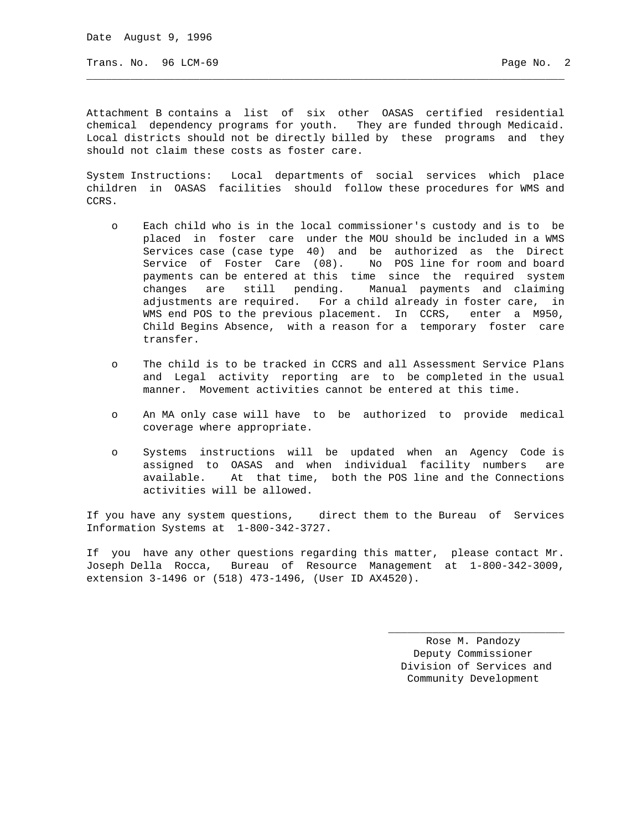Date August 9, 1996

Trans. No. 96 LCM-69 Page No. 2

Attachment B contains a list of six other OASAS certified residential chemical dependency programs for youth. They are funded through Medicaid. Local districts should not be directly billed by these programs and they should not claim these costs as foster care.

\_\_\_\_\_\_\_\_\_\_\_\_\_\_\_\_\_\_\_\_\_\_\_\_\_\_\_\_\_\_\_\_\_\_\_\_\_\_\_\_\_\_\_\_\_\_\_\_\_\_\_\_\_\_\_\_\_\_\_\_\_\_\_\_\_\_\_\_\_\_\_\_\_\_\_\_

System Instructions: Local departments of social services which place children in OASAS facilities should follow these procedures for WMS and CCRS.

- o Each child who is in the local commissioner's custody and is to be placed in foster care under the MOU should be included in a WMS Services case (case type 40) and be authorized as the Direct Service of Foster Care (08). No POS line for room and board payments can be entered at this time since the required system changes are still pending. Manual payments and claiming adjustments are required. For a child already in foster care, in WMS end POS to the previous placement. In CCRS, enter a M950, Child Begins Absence, with a reason for a temporary foster care transfer.
- o The child is to be tracked in CCRS and all Assessment Service Plans and Legal activity reporting are to be completed in the usual manner. Movement activities cannot be entered at this time.
- o An MA only case will have to be authorized to provide medical coverage where appropriate.
- o Systems instructions will be updated when an Agency Code is assigned to OASAS and when individual facility numbers are available. At that time, both the POS line and the Connections activities will be allowed.

If you have any system questions, direct them to the Bureau of Services Information Systems at 1-800-342-3727.

If you have any other questions regarding this matter, please contact Mr. Joseph Della Rocca, Bureau of Resource Management at 1-800-342-3009, extension 3-1496 or (518) 473-1496, (User ID AX4520).

 $\mathcal{L}_\mathcal{L}$  , and the set of the set of the set of the set of the set of the set of the set of the set of the set of the set of the set of the set of the set of the set of the set of the set of the set of the set of th

 Rose M. Pandozy Deputy Commissioner Division of Services and Community Development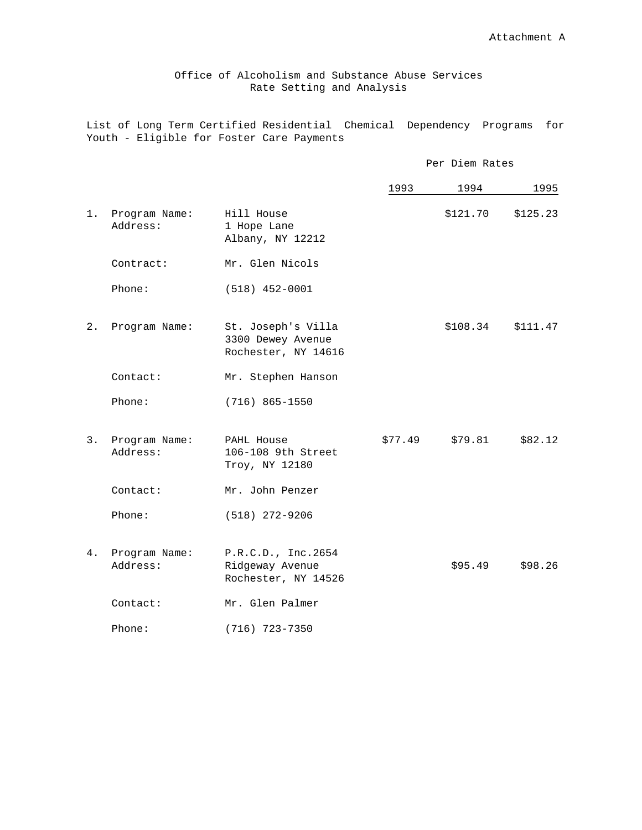Office of Alcoholism and Substance Abuse Services Rate Setting and Analysis

List of Long Term Certified Residential Chemical Dependency Programs for Youth - Eligible for Foster Care Payments

|    |                           |                                                                | Per Diem Rates |          |          |
|----|---------------------------|----------------------------------------------------------------|----------------|----------|----------|
|    |                           |                                                                | 1993           | 1994     | 1995     |
| 1. | Program Name:<br>Address: | Hill House<br>1 Hope Lane<br>Albany, NY 12212                  |                | \$121.70 | \$125.23 |
|    | Contract:                 | Mr. Glen Nicols                                                |                |          |          |
|    | Phone:                    | $(518)$ 452-0001                                               |                |          |          |
| 2. | Program Name:             | St. Joseph's Villa<br>3300 Dewey Avenue<br>Rochester, NY 14616 |                | \$108.34 | \$111.47 |
|    | Contact:                  | Mr. Stephen Hanson                                             |                |          |          |
|    | Phone:                    | $(716) 865 - 1550$                                             |                |          |          |
| 3. | Program Name:<br>Address: | PAHL House<br>106-108 9th Street<br>Troy, NY 12180             | \$77.49        | \$79.81  | \$82.12  |
|    | Contact:                  | Mr. John Penzer                                                |                |          |          |
|    | Phone:                    | $(518)$ 272-9206                                               |                |          |          |
| 4. | Program Name:<br>Address: | P.R.C.D., Inc.2654<br>Ridgeway Avenue<br>Rochester, NY 14526   |                | \$95.49  | \$98.26  |
|    | Contact:                  | Mr. Glen Palmer                                                |                |          |          |
|    | Phone:                    | $(716)$ 723-7350                                               |                |          |          |